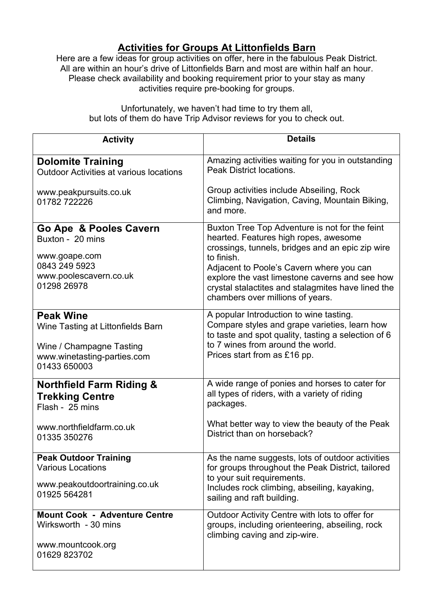## **Activities for Groups At Littonfields Barn**

Here are a few ideas for group activities on offer, here in the fabulous Peak District. All are within an hour's drive of Littonfields Barn and most are within half an hour. Please check availability and booking requirement prior to your stay as many activities require pre-booking for groups.

| <b>Activity</b>                                                                                                                  | <b>Details</b>                                                                                                                                                                                                                                                                                                                                    |
|----------------------------------------------------------------------------------------------------------------------------------|---------------------------------------------------------------------------------------------------------------------------------------------------------------------------------------------------------------------------------------------------------------------------------------------------------------------------------------------------|
| <b>Dolomite Training</b><br><b>Outdoor Activities at various locations</b>                                                       | Amazing activities waiting for you in outstanding<br><b>Peak District locations.</b>                                                                                                                                                                                                                                                              |
| www.peakpursuits.co.uk<br>01782 722226                                                                                           | Group activities include Abseiling, Rock<br>Climbing, Navigation, Caving, Mountain Biking,<br>and more.                                                                                                                                                                                                                                           |
| Go Ape & Pooles Cavern<br>Buxton - 20 mins<br>www.goape.com<br>0843 249 5923<br>www.poolescavern.co.uk<br>01298 26978            | Buxton Tree Top Adventure is not for the feint<br>hearted. Features high ropes, awesome<br>crossings, tunnels, bridges and an epic zip wire<br>to finish.<br>Adjacent to Poole's Cavern where you can<br>explore the vast limestone caverns and see how<br>crystal stalactites and stalagmites have lined the<br>chambers over millions of years. |
| <b>Peak Wine</b><br>Wine Tasting at Littonfields Barn<br>Wine / Champagne Tasting<br>www.winetasting-parties.com<br>01433 650003 | A popular Introduction to wine tasting.<br>Compare styles and grape varieties, learn how<br>to taste and spot quality, tasting a selection of 6<br>to 7 wines from around the world.<br>Prices start from as £16 pp.                                                                                                                              |
| <b>Northfield Farm Riding &amp;</b><br><b>Trekking Centre</b><br>Flash - 25 mins<br>www.northfieldfarm.co.uk<br>01335 350276     | A wide range of ponies and horses to cater for<br>all types of riders, with a variety of riding<br>packages.<br>What better way to view the beauty of the Peak<br>District than on horseback?                                                                                                                                                     |
| <b>Peak Outdoor Training</b><br><b>Various Locations</b><br>www.peakoutdoortraining.co.uk<br>01925 564281                        | As the name suggests, lots of outdoor activities<br>for groups throughout the Peak District, tailored<br>to your suit requirements.<br>Includes rock climbing, abseiling, kayaking,<br>sailing and raft building.                                                                                                                                 |
| <b>Mount Cook - Adventure Centre</b><br>Wirksworth - 30 mins<br>www.mountcook.org<br>01629 823702                                | Outdoor Activity Centre with lots to offer for<br>groups, including orienteering, abseiling, rock<br>climbing caving and zip-wire.                                                                                                                                                                                                                |

Unfortunately, we haven't had time to try them all, but lots of them do have Trip Advisor reviews for you to check out.